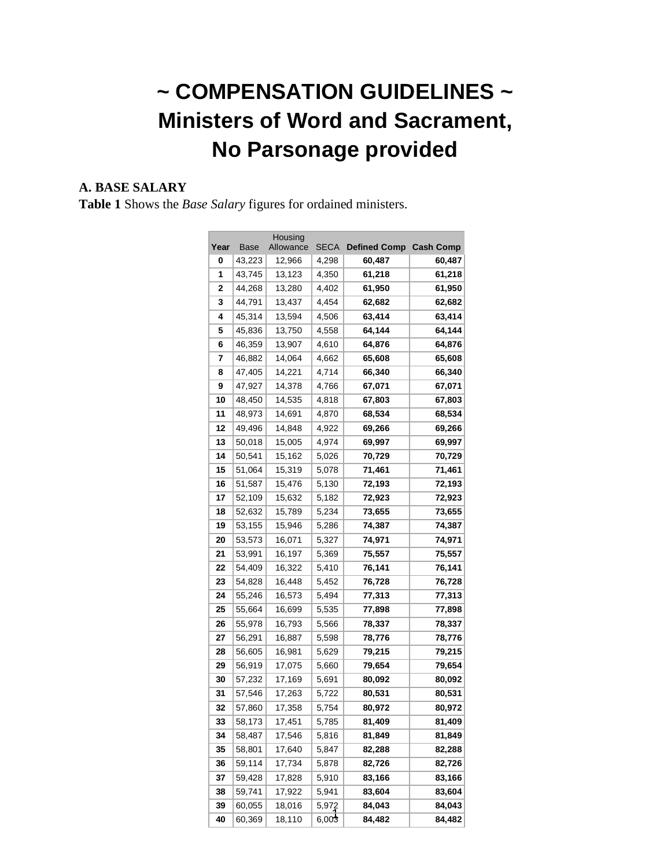# **~ COMPENSATION GUIDELINES ~ Ministers of Word and Sacrament, No Parsonage provided**

#### **A. BASE SALARY**

**Table 1** Shows the *Base Salary* figures for ordained ministers.

| Housing |        |           |             |                     |                  |  |  |  |
|---------|--------|-----------|-------------|---------------------|------------------|--|--|--|
| Year    | Base   | Allowance | <b>SECA</b> | <b>Defined Comp</b> | <b>Cash Comp</b> |  |  |  |
| 0       | 43,223 | 12,966    | 4,298       | 60,487              | 60,487           |  |  |  |
| 1       | 43,745 | 13,123    | 4,350       | 61,218              | 61,218           |  |  |  |
| 2       | 44,268 | 13,280    | 4,402       | 61,950              | 61,950           |  |  |  |
| 3       | 44,791 | 13,437    | 4,454       | 62,682              | 62,682           |  |  |  |
| 4       | 45,314 | 13,594    | 4,506       | 63,414              | 63,414           |  |  |  |
| 5       | 45,836 | 13,750    | 4,558       | 64,144              | 64,144           |  |  |  |
| 6       | 46,359 | 13,907    | 4,610       | 64,876              | 64,876           |  |  |  |
| 7       | 46,882 | 14,064    | 4,662       | 65,608              | 65,608           |  |  |  |
| 8       | 47,405 | 14,221    | 4,714       | 66,340              | 66,340           |  |  |  |
| 9       | 47,927 | 14,378    | 4,766       | 67,071              | 67,071           |  |  |  |
| 10      | 48,450 | 14,535    | 4,818       | 67,803              | 67,803           |  |  |  |
| 11      | 48,973 | 14,691    | 4,870       | 68,534              | 68,534           |  |  |  |
| 12      | 49,496 | 14,848    | 4,922       | 69,266              | 69,266           |  |  |  |
| 13      | 50,018 | 15,005    | 4,974       | 69,997              | 69,997           |  |  |  |
| 14      | 50,541 | 15,162    | 5,026       | 70,729              | 70,729           |  |  |  |
| 15      | 51,064 | 15,319    | 5,078       | 71,461              | 71,461           |  |  |  |
| 16      | 51,587 | 15,476    | 5,130       | 72,193              | 72,193           |  |  |  |
| 17      | 52,109 | 15,632    | 5,182       | 72,923              | 72,923           |  |  |  |
| 18      | 52,632 | 15,789    | 5,234       | 73,655              | 73,655           |  |  |  |
| 19      | 53,155 | 15,946    | 5,286       | 74,387              | 74,387           |  |  |  |
| 20      | 53,573 | 16,071    | 5,327       | 74,971              | 74,971           |  |  |  |
| 21      | 53,991 | 16,197    | 5,369       | 75,557              | 75,557           |  |  |  |
| 22      | 54,409 | 16,322    | 5,410       | 76,141              | 76,141           |  |  |  |
| 23      | 54,828 | 16,448    | 5,452       | 76,728              | 76,728           |  |  |  |
| 24      | 55,246 | 16,573    | 5,494       | 77,313              | 77,313           |  |  |  |
| 25      | 55,664 | 16,699    | 5,535       | 77,898              | 77,898           |  |  |  |
| 26      | 55,978 | 16,793    | 5,566       | 78,337              | 78,337           |  |  |  |
| 27      | 56,291 | 16,887    | 5,598       | 78,776              | 78,776           |  |  |  |
| 28      | 56,605 | 16,981    | 5,629       | 79,215              | 79,215           |  |  |  |
| 29      | 56,919 | 17,075    | 5,660       | 79,654              | 79,654           |  |  |  |
| 30      | 57,232 | 17,169    | 5,691       | 80,092              | 80,092           |  |  |  |
| 31      | 57,546 | 17,263    | 5,722       | 80,531              | 80,531           |  |  |  |
| 32      | 57,860 | 17,358    | 5,754       | 80,972              | 80,972           |  |  |  |
| 33      | 58,173 | 17,451    | 5,785       | 81,409              | 81,409           |  |  |  |
| 34      | 58,487 | 17,546    | 5,816       | 81,849              | 81,849           |  |  |  |
| 35      | 58,801 | 17,640    | 5,847       | 82,288              | 82,288           |  |  |  |
| 36      | 59,114 | 17,734    | 5,878       | 82,726              | 82,726           |  |  |  |
| 37      | 59,428 | 17,828    | 5,910       | 83,166<br>83,166    |                  |  |  |  |
| 38      | 59,741 | 17,922    | 5,941       | 83,604<br>83,604    |                  |  |  |  |
| 39      | 60,055 | 18,016    | 5,972       | 84,043              | 84,043           |  |  |  |
| 40      | 60,369 | 18,110    | 6,003       | 84,482              | 84,482           |  |  |  |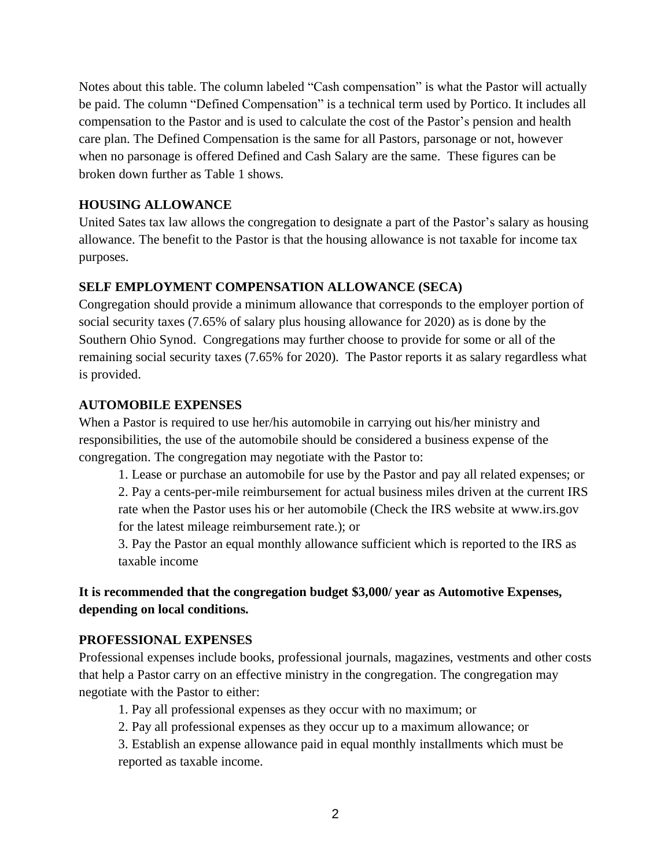Notes about this table. The column labeled "Cash compensation" is what the Pastor will actually be paid. The column "Defined Compensation" is a technical term used by Portico. It includes all compensation to the Pastor and is used to calculate the cost of the Pastor's pension and health care plan. The Defined Compensation is the same for all Pastors, parsonage or not, however when no parsonage is offered Defined and Cash Salary are the same. These figures can be broken down further as Table 1 shows.

#### **HOUSING ALLOWANCE**

United Sates tax law allows the congregation to designate a part of the Pastor's salary as housing allowance. The benefit to the Pastor is that the housing allowance is not taxable for income tax purposes.

#### **SELF EMPLOYMENT COMPENSATION ALLOWANCE (SECA)**

Congregation should provide a minimum allowance that corresponds to the employer portion of social security taxes (7.65% of salary plus housing allowance for 2020) as is done by the Southern Ohio Synod. Congregations may further choose to provide for some or all of the remaining social security taxes (7.65% for 2020). The Pastor reports it as salary regardless what is provided.

#### **AUTOMOBILE EXPENSES**

When a Pastor is required to use her/his automobile in carrying out his/her ministry and responsibilities, the use of the automobile should be considered a business expense of the congregation. The congregation may negotiate with the Pastor to:

1. Lease or purchase an automobile for use by the Pastor and pay all related expenses; or 2. Pay a cents-per-mile reimbursement for actual business miles driven at the current IRS rate when the Pastor uses his or her automobile (Check the IRS website at www.irs.gov for the latest mileage reimbursement rate.); or

3. Pay the Pastor an equal monthly allowance sufficient which is reported to the IRS as taxable income

# **It is recommended that the congregation budget \$3,000/ year as Automotive Expenses, depending on local conditions.**

#### **PROFESSIONAL EXPENSES**

Professional expenses include books, professional journals, magazines, vestments and other costs that help a Pastor carry on an effective ministry in the congregation. The congregation may negotiate with the Pastor to either:

1. Pay all professional expenses as they occur with no maximum; or

2. Pay all professional expenses as they occur up to a maximum allowance; or

3. Establish an expense allowance paid in equal monthly installments which must be reported as taxable income.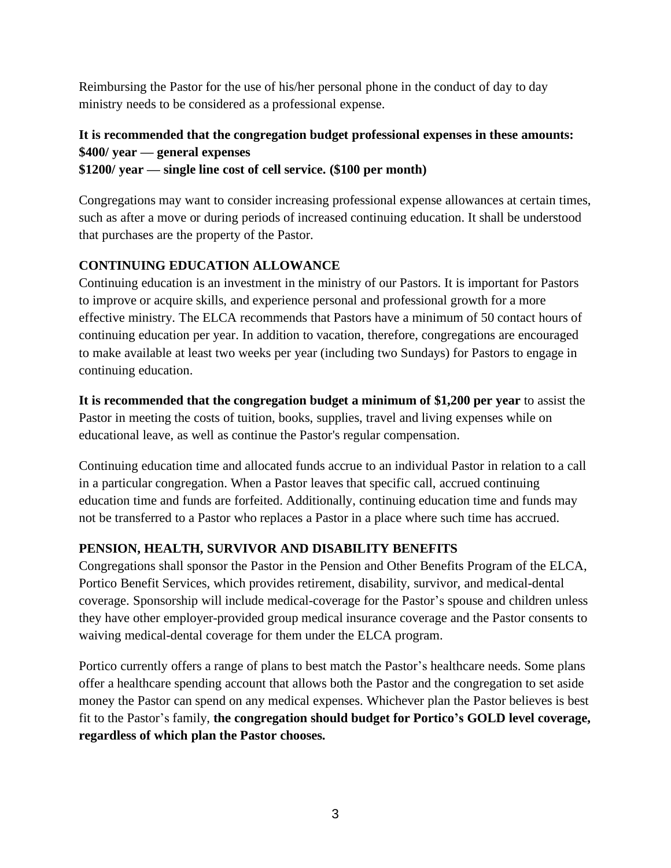Reimbursing the Pastor for the use of his/her personal phone in the conduct of day to day ministry needs to be considered as a professional expense.

# **It is recommended that the congregation budget professional expenses in these amounts: \$400/ year — general expenses**

**\$1200/ year — single line cost of cell service. (\$100 per month)**

Congregations may want to consider increasing professional expense allowances at certain times, such as after a move or during periods of increased continuing education. It shall be understood that purchases are the property of the Pastor.

# **CONTINUING EDUCATION ALLOWANCE**

Continuing education is an investment in the ministry of our Pastors. It is important for Pastors to improve or acquire skills, and experience personal and professional growth for a more effective ministry. The ELCA recommends that Pastors have a minimum of 50 contact hours of continuing education per year. In addition to vacation, therefore, congregations are encouraged to make available at least two weeks per year (including two Sundays) for Pastors to engage in continuing education.

**It is recommended that the congregation budget a minimum of \$1,200 per year** to assist the Pastor in meeting the costs of tuition, books, supplies, travel and living expenses while on educational leave, as well as continue the Pastor's regular compensation.

Continuing education time and allocated funds accrue to an individual Pastor in relation to a call in a particular congregation. When a Pastor leaves that specific call, accrued continuing education time and funds are forfeited. Additionally, continuing education time and funds may not be transferred to a Pastor who replaces a Pastor in a place where such time has accrued.

# **PENSION, HEALTH, SURVIVOR AND DISABILITY BENEFITS**

Congregations shall sponsor the Pastor in the Pension and Other Benefits Program of the ELCA, Portico Benefit Services, which provides retirement, disability, survivor, and medical-dental coverage. Sponsorship will include medical-coverage for the Pastor's spouse and children unless they have other employer-provided group medical insurance coverage and the Pastor consents to waiving medical-dental coverage for them under the ELCA program.

Portico currently offers a range of plans to best match the Pastor's healthcare needs. Some plans offer a healthcare spending account that allows both the Pastor and the congregation to set aside money the Pastor can spend on any medical expenses. Whichever plan the Pastor believes is best fit to the Pastor's family, **the congregation should budget for Portico's GOLD level coverage, regardless of which plan the Pastor chooses.**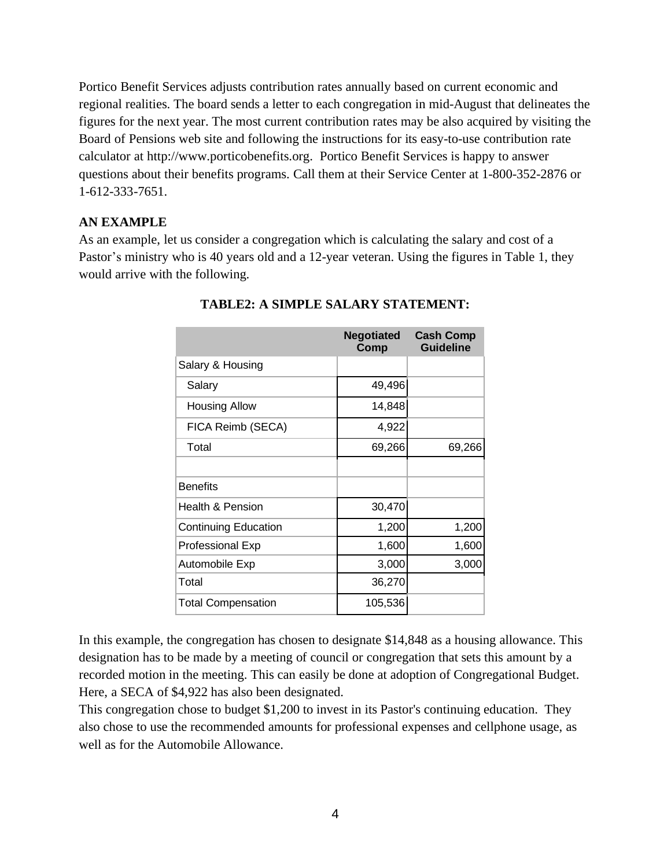Portico Benefit Services adjusts contribution rates annually based on current economic and regional realities. The board sends a letter to each congregation in mid-August that delineates the figures for the next year. The most current contribution rates may be also acquired by visiting the Board of Pensions web site and following the instructions for its easy-to-use contribution rate calculator at http://www.porticobenefits.org. Portico Benefit Services is happy to answer questions about their benefits programs. Call them at their Service Center at 1-800-352-2876 or 1-612-333-7651.

#### **AN EXAMPLE**

As an example, let us consider a congregation which is calculating the salary and cost of a Pastor's ministry who is 40 years old and a 12-year veteran. Using the figures in Table 1, they would arrive with the following.

|                             | <b>Negotiated</b><br><b>Comp</b> | <b>Cash Comp</b><br><b>Guideline</b> |
|-----------------------------|----------------------------------|--------------------------------------|
| Salary & Housing            |                                  |                                      |
| Salary                      | 49,496                           |                                      |
| <b>Housing Allow</b>        | 14,848                           |                                      |
| FICA Reimb (SECA)           | 4,922                            |                                      |
| Total                       | 69,266                           | 69,266                               |
|                             |                                  |                                      |
| <b>Benefits</b>             |                                  |                                      |
| Health & Pension            | 30,470                           |                                      |
| <b>Continuing Education</b> | 1,200                            | 1,200                                |
| <b>Professional Exp</b>     | 1,600                            | 1,600                                |
| Automobile Exp              | 3,000                            | 3,000                                |
| Total                       | 36,270                           |                                      |
| <b>Total Compensation</b>   | 105,536                          |                                      |

#### **TABLE2: A SIMPLE SALARY STATEMENT:**

In this example, the congregation has chosen to designate \$14,848 as a housing allowance. This designation has to be made by a meeting of council or congregation that sets this amount by a recorded motion in the meeting. This can easily be done at adoption of Congregational Budget. Here, a SECA of \$4,922 has also been designated.

This congregation chose to budget \$1,200 to invest in its Pastor's continuing education. They also chose to use the recommended amounts for professional expenses and cellphone usage, as well as for the Automobile Allowance.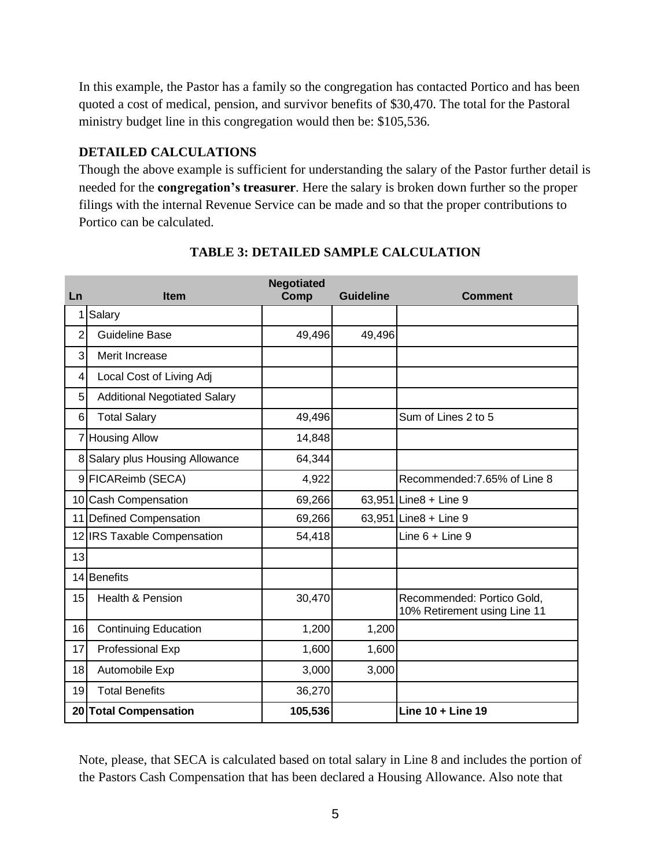In this example, the Pastor has a family so the congregation has contacted Portico and has been quoted a cost of medical, pension, and survivor benefits of \$30,470. The total for the Pastoral ministry budget line in this congregation would then be: \$105,536.

#### **DETAILED CALCULATIONS**

Though the above example is sufficient for understanding the salary of the Pastor further detail is needed for the **congregation's treasurer**. Here the salary is broken down further so the proper filings with the internal Revenue Service can be made and so that the proper contributions to Portico can be calculated.

| Ln             | <b>Item</b>                         | <b>Negotiated</b><br>Comp | <b>Guideline</b> | <b>Comment</b>                                             |
|----------------|-------------------------------------|---------------------------|------------------|------------------------------------------------------------|
| 1              | Salary                              |                           |                  |                                                            |
| $\overline{2}$ | <b>Guideline Base</b>               | 49,496                    | 49,496           |                                                            |
| 3              | Merit Increase                      |                           |                  |                                                            |
| 4              | Local Cost of Living Adj            |                           |                  |                                                            |
| 5              | <b>Additional Negotiated Salary</b> |                           |                  |                                                            |
| 6              | <b>Total Salary</b>                 | 49,496                    |                  | Sum of Lines 2 to 5                                        |
| $\overline{7}$ | <b>Housing Allow</b>                | 14,848                    |                  |                                                            |
| 8              | Salary plus Housing Allowance       | 64,344                    |                  |                                                            |
|                | 9 FICAReimb (SECA)                  | 4,922                     |                  | Recommended: 7.65% of Line 8                               |
|                | 10 Cash Compensation                | 69,266                    |                  | 63,951 Line8 + Line 9                                      |
| 11             | <b>Defined Compensation</b>         | 69,266                    |                  | 63,951 Line8 + Line 9                                      |
|                | 12 IRS Taxable Compensation         | 54,418                    |                  | Line $6 +$ Line $9$                                        |
| 13             |                                     |                           |                  |                                                            |
| 14             | <b>Benefits</b>                     |                           |                  |                                                            |
| 15             | Health & Pension                    | 30,470                    |                  | Recommended: Portico Gold,<br>10% Retirement using Line 11 |
| 16             | <b>Continuing Education</b>         | 1,200                     | 1,200            |                                                            |
| 17             | Professional Exp                    | 1,600                     | 1,600            |                                                            |
| 18             | Automobile Exp                      | 3,000                     | 3,000            |                                                            |
| 19             | <b>Total Benefits</b>               | 36,270                    |                  |                                                            |
|                | 20 Total Compensation               | 105,536                   |                  | Line 10 + Line 19                                          |

# **TABLE 3: DETAILED SAMPLE CALCULATION**

Note, please, that SECA is calculated based on total salary in Line 8 and includes the portion of the Pastors Cash Compensation that has been declared a Housing Allowance. Also note that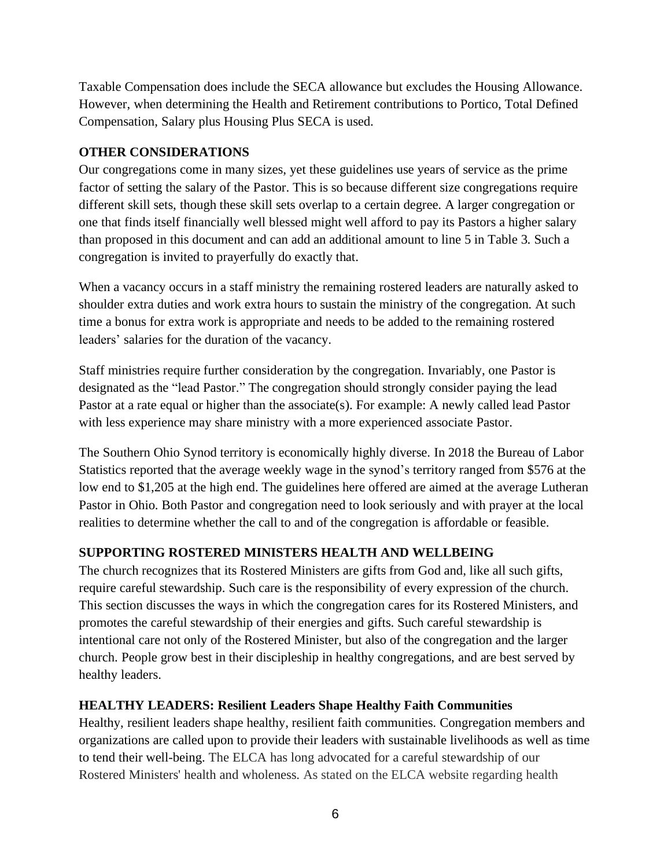Taxable Compensation does include the SECA allowance but excludes the Housing Allowance. However, when determining the Health and Retirement contributions to Portico, Total Defined Compensation, Salary plus Housing Plus SECA is used.

#### **OTHER CONSIDERATIONS**

Our congregations come in many sizes, yet these guidelines use years of service as the prime factor of setting the salary of the Pastor. This is so because different size congregations require different skill sets, though these skill sets overlap to a certain degree. A larger congregation or one that finds itself financially well blessed might well afford to pay its Pastors a higher salary than proposed in this document and can add an additional amount to line 5 in Table 3. Such a congregation is invited to prayerfully do exactly that.

When a vacancy occurs in a staff ministry the remaining rostered leaders are naturally asked to shoulder extra duties and work extra hours to sustain the ministry of the congregation. At such time a bonus for extra work is appropriate and needs to be added to the remaining rostered leaders' salaries for the duration of the vacancy.

Staff ministries require further consideration by the congregation. Invariably, one Pastor is designated as the "lead Pastor." The congregation should strongly consider paying the lead Pastor at a rate equal or higher than the associate(s). For example: A newly called lead Pastor with less experience may share ministry with a more experienced associate Pastor.

The Southern Ohio Synod territory is economically highly diverse. In 2018 the Bureau of Labor Statistics reported that the average weekly wage in the synod's territory ranged from \$576 at the low end to \$1,205 at the high end. The guidelines here offered are aimed at the average Lutheran Pastor in Ohio. Both Pastor and congregation need to look seriously and with prayer at the local realities to determine whether the call to and of the congregation is affordable or feasible.

# **SUPPORTING ROSTERED MINISTERS HEALTH AND WELLBEING**

The church recognizes that its Rostered Ministers are gifts from God and, like all such gifts, require careful stewardship. Such care is the responsibility of every expression of the church. This section discusses the ways in which the congregation cares for its Rostered Ministers, and promotes the careful stewardship of their energies and gifts. Such careful stewardship is intentional care not only of the Rostered Minister, but also of the congregation and the larger church. People grow best in their discipleship in healthy congregations, and are best served by healthy leaders.

# **HEALTHY LEADERS: Resilient Leaders Shape Healthy Faith Communities**

Healthy, resilient leaders shape healthy, resilient faith communities. Congregation members and organizations are called upon to provide their leaders with sustainable livelihoods as well as time to tend their well-being. The ELCA has long advocated for a careful stewardship of our Rostered Ministers' health and wholeness. As stated on the ELCA website regarding health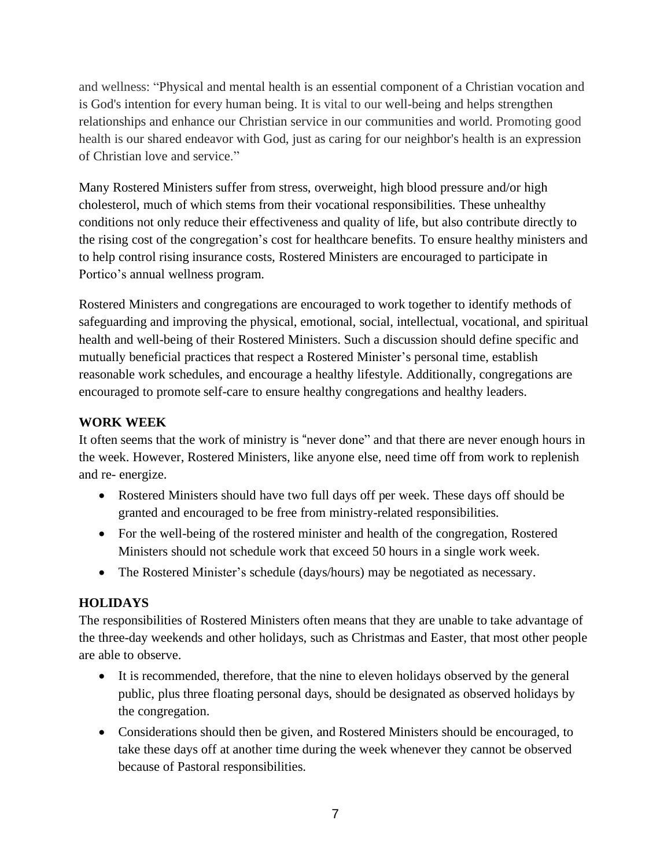and wellness: "Physical and mental health is an essential component of a Christian vocation and is God's intention for every human being. It is vital to our well-being and helps strengthen relationships and enhance our Christian service in our communities and world. Promoting good health is our shared endeavor with God, just as caring for our neighbor's health is an expression of Christian love and service."

Many Rostered Ministers suffer from stress, overweight, high blood pressure and/or high cholesterol, much of which stems from their vocational responsibilities. These unhealthy conditions not only reduce their effectiveness and quality of life, but also contribute directly to the rising cost of the congregation's cost for healthcare benefits. To ensure healthy ministers and to help control rising insurance costs, Rostered Ministers are encouraged to participate in Portico's annual wellness program.

Rostered Ministers and congregations are encouraged to work together to identify methods of safeguarding and improving the physical, emotional, social, intellectual, vocational, and spiritual health and well-being of their Rostered Ministers. Such a discussion should define specific and mutually beneficial practices that respect a Rostered Minister's personal time, establish reasonable work schedules, and encourage a healthy lifestyle. Additionally, congregations are encouraged to promote self-care to ensure healthy congregations and healthy leaders.

# **WORK WEEK**

It often seems that the work of ministry is "never done" and that there are never enough hours in the week. However, Rostered Ministers, like anyone else, need time off from work to replenish and re- energize.

- Rostered Ministers should have two full days off per week. These days off should be granted and encouraged to be free from ministry-related responsibilities.
- For the well-being of the rostered minister and health of the congregation, Rostered Ministers should not schedule work that exceed 50 hours in a single work week.
- The Rostered Minister's schedule (days/hours) may be negotiated as necessary.

# **HOLIDAYS**

The responsibilities of Rostered Ministers often means that they are unable to take advantage of the three-day weekends and other holidays, such as Christmas and Easter, that most other people are able to observe.

- It is recommended, therefore, that the nine to eleven holidays observed by the general public, plus three floating personal days, should be designated as observed holidays by the congregation.
- Considerations should then be given, and Rostered Ministers should be encouraged, to take these days off at another time during the week whenever they cannot be observed because of Pastoral responsibilities.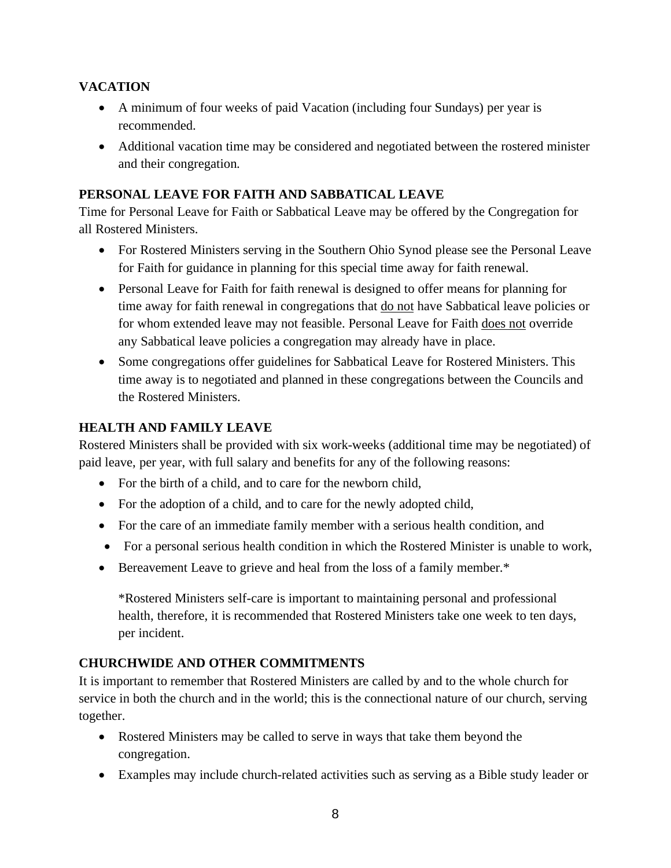#### **VACATION**

- A minimum of four weeks of paid Vacation (including four Sundays) per year is recommended.
- Additional vacation time may be considered and negotiated between the rostered minister and their congregation.

#### **PERSONAL LEAVE FOR FAITH AND SABBATICAL LEAVE**

Time for Personal Leave for Faith or Sabbatical Leave may be offered by the Congregation for all Rostered Ministers.

- For Rostered Ministers serving in the Southern Ohio Synod please see the Personal Leave for Faith for guidance in planning for this special time away for faith renewal.
- Personal Leave for Faith for faith renewal is designed to offer means for planning for time away for faith renewal in congregations that do not have Sabbatical leave policies or for whom extended leave may not feasible. Personal Leave for Faith does not override any Sabbatical leave policies a congregation may already have in place.
- Some congregations offer guidelines for Sabbatical Leave for Rostered Ministers. This time away is to negotiated and planned in these congregations between the Councils and the Rostered Ministers.

# **HEALTH AND FAMILY LEAVE**

Rostered Ministers shall be provided with six work-weeks (additional time may be negotiated) of paid leave, per year, with full salary and benefits for any of the following reasons:

- For the birth of a child, and to care for the newborn child,
- For the adoption of a child, and to care for the newly adopted child,
- For the care of an immediate family member with a serious health condition, and
- For a personal serious health condition in which the Rostered Minister is unable to work,
- Bereavement Leave to grieve and heal from the loss of a family member.\*

\*Rostered Ministers self-care is important to maintaining personal and professional health, therefore, it is recommended that Rostered Ministers take one week to ten days, per incident.

# **CHURCHWIDE AND OTHER COMMITMENTS**

It is important to remember that Rostered Ministers are called by and to the whole church for service in both the church and in the world; this is the connectional nature of our church, serving together.

- Rostered Ministers may be called to serve in ways that take them beyond the congregation.
- Examples may include church-related activities such as serving as a Bible study leader or